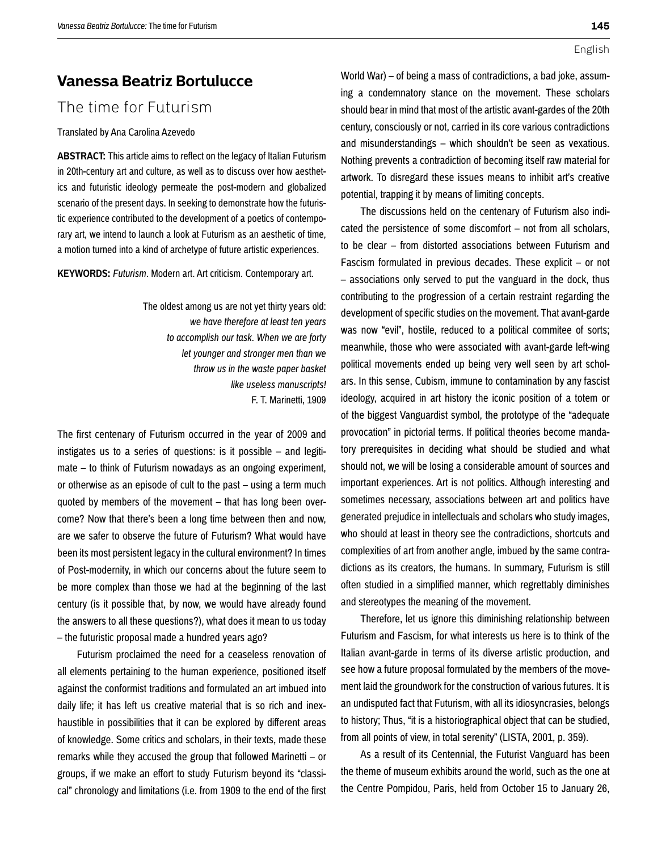## **Vanessa Beatriz Bortulucce**

# The time for Futurism

## Translated by Ana Carolina Azevedo

**ABSTRACT:** This article aims to reflect on the legacy of Italian Futurism in 20th-century art and culture, as well as to discuss over how aesthetics and futuristic ideology permeate the post-modern and globalized scenario of the present days. In seeking to demonstrate how the futuristic experience contributed to the development of a poetics of contemporary art, we intend to launch a look at Futurism as an aesthetic of time, a motion turned into a kind of archetype of future artistic experiences.

**KEYWORDS:** *Futurism*. Modern art. Art criticism. Contemporary art.

The oldest among us are not yet thirty years old: *we have therefore at least ten years to accomplish our task. When we are forty let younger and stronger men than we throw us in the waste paper basket like useless manuscripts!*  F. T. Marinetti, 1909

The first centenary of Futurism occurred in the year of 2009 and instigates us to a series of questions: is it possible – and legitimate – to think of Futurism nowadays as an ongoing experiment, or otherwise as an episode of cult to the past – using a term much quoted by members of the movement – that has long been overcome? Now that there's been a long time between then and now, are we safer to observe the future of Futurism? What would have been its most persistent legacy in the cultural environment? In times of Post-modernity, in which our concerns about the future seem to be more complex than those we had at the beginning of the last century (is it possible that, by now, we would have already found the answers to all these questions?), what does it mean to us today – the futuristic proposal made a hundred years ago?

Futurism proclaimed the need for a ceaseless renovation of all elements pertaining to the human experience, positioned itself against the conformist traditions and formulated an art imbued into daily life; it has left us creative material that is so rich and inexhaustible in possibilities that it can be explored by different areas of knowledge. Some critics and scholars, in their texts, made these remarks while they accused the group that followed Marinetti – or groups, if we make an effort to study Futurism beyond its "classical" chronology and limitations (i.e. from 1909 to the end of the first

World War) – of being a mass of contradictions, a bad joke, assuming a condemnatory stance on the movement. These scholars should bear in mind that most of the artistic avant-gardes of the 20th century, consciously or not, carried in its core various contradictions and misunderstandings – which shouldn't be seen as vexatious. Nothing prevents a contradiction of becoming itself raw material for artwork. To disregard these issues means to inhibit art's creative potential, trapping it by means of limiting concepts.

The discussions held on the centenary of Futurism also indicated the persistence of some discomfort – not from all scholars, to be clear – from distorted associations between Futurism and Fascism formulated in previous decades. These explicit – or not – associations only served to put the vanguard in the dock, thus contributing to the progression of a certain restraint regarding the development of specific studies on the movement. That avant-garde was now "evil", hostile, reduced to a political commitee of sorts; meanwhile, those who were associated with avant-garde left-wing political movements ended up being very well seen by art scholars. In this sense, Cubism, immune to contamination by any fascist ideology, acquired in art history the iconic position of a totem or of the biggest Vanguardist symbol, the prototype of the "adequate provocation" in pictorial terms. If political theories become mandatory prerequisites in deciding what should be studied and what should not, we will be losing a considerable amount of sources and important experiences. Art is not politics. Although interesting and sometimes necessary, associations between art and politics have generated prejudice in intellectuals and scholars who study images, who should at least in theory see the contradictions, shortcuts and complexities of art from another angle, imbued by the same contradictions as its creators, the humans. In summary, Futurism is still often studied in a simplified manner, which regrettably diminishes and stereotypes the meaning of the movement.

Therefore, let us ignore this diminishing relationship between Futurism and Fascism, for what interests us here is to think of the Italian avant-garde in terms of its diverse artistic production, and see how a future proposal formulated by the members of the movement laid the groundwork for the construction of various futures. It is an undisputed fact that Futurism, with all its idiosyncrasies, belongs to history; Thus, "it is a historiographical object that can be studied, from all points of view, in total serenity" (LISTA, 2001, p. 359).

As a result of its Centennial, the Futurist Vanguard has been the theme of museum exhibits around the world, such as the one at the Centre Pompidou, Paris, held from October 15 to January 26,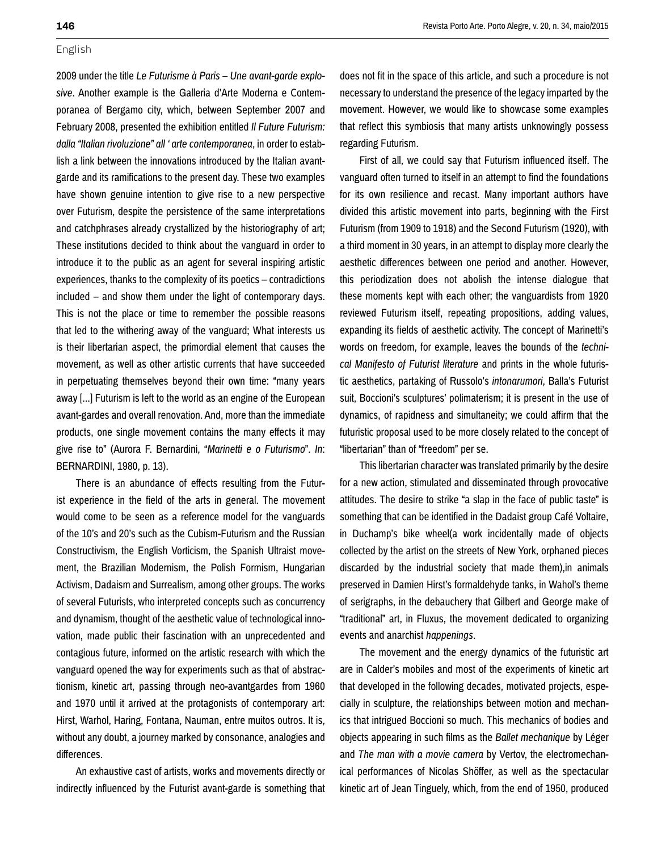2009 under the title *Le Futurisme à Paris – Une avant-garde explosive*. Another example is the Galleria d'Arte Moderna e Contemporanea of Bergamo city, which, between September 2007 and February 2008, presented the exhibition entitled *Il Future Futurism: dalla "Italian rivoluzione" all ' arte contemporanea*, in order to establish a link between the innovations introduced by the Italian avantgarde and its ramifications to the present day. These two examples have shown genuine intention to give rise to a new perspective over Futurism, despite the persistence of the same interpretations and catchphrases already crystallized by the historiography of art; These institutions decided to think about the vanguard in order to introduce it to the public as an agent for several inspiring artistic experiences, thanks to the complexity of its poetics – contradictions included – and show them under the light of contemporary days. This is not the place or time to remember the possible reasons that led to the withering away of the vanguard; What interests us is their libertarian aspect, the primordial element that causes the movement, as well as other artistic currents that have succeeded in perpetuating themselves beyond their own time: "many years away [...] Futurism is left to the world as an engine of the European avant-gardes and overall renovation. And, more than the immediate products, one single movement contains the many effects it may give rise to" (Aurora F. Bernardini, "*Marinetti e o Futurismo*". *In*: BERNARDINI, 1980, p. 13).

There is an abundance of effects resulting from the Futurist experience in the field of the arts in general. The movement would come to be seen as a reference model for the vanguards of the 10's and 20's such as the Cubism-Futurism and the Russian Constructivism, the English Vorticism, the Spanish Ultraist movement, the Brazilian Modernism, the Polish Formism, Hungarian Activism, Dadaism and Surrealism, among other groups. The works of several Futurists, who interpreted concepts such as concurrency and dynamism, thought of the aesthetic value of technological innovation, made public their fascination with an unprecedented and contagious future, informed on the artistic research with which the vanguard opened the way for experiments such as that of abstractionism, kinetic art, passing through neo-avantgardes from 1960 and 1970 until it arrived at the protagonists of contemporary art: Hirst, Warhol, Haring, Fontana, Nauman, entre muitos outros. It is, without any doubt, a journey marked by consonance, analogies and differences.

An exhaustive cast of artists, works and movements directly or indirectly influenced by the Futurist avant-garde is something that does not fit in the space of this article, and such a procedure is not necessary to understand the presence of the legacy imparted by the movement. However, we would like to showcase some examples that reflect this symbiosis that many artists unknowingly possess regarding Futurism.

First of all, we could say that Futurism influenced itself. The vanguard often turned to itself in an attempt to find the foundations for its own resilience and recast. Many important authors have divided this artistic movement into parts, beginning with the First Futurism (from 1909 to 1918) and the Second Futurism (1920), with a third moment in 30 years, in an attempt to display more clearly the aesthetic differences between one period and another. However, this periodization does not abolish the intense dialogue that these moments kept with each other; the vanguardists from 1920 reviewed Futurism itself, repeating propositions, adding values, expanding its fields of aesthetic activity. The concept of Marinetti's words on freedom, for example, leaves the bounds of the *technical Manifesto of Futurist literature* and prints in the whole futuristic aesthetics, partaking of Russolo's *intonarumori*, Balla's Futurist suit, Boccioni's sculptures' polimaterism; it is present in the use of dynamics, of rapidness and simultaneity; we could affirm that the futuristic proposal used to be more closely related to the concept of "libertarian" than of "freedom" per se.

This libertarian character was translated primarily by the desire for a new action, stimulated and disseminated through provocative attitudes. The desire to strike "a slap in the face of public taste" is something that can be identified in the Dadaist group Café Voltaire, in Duchamp's bike wheel(a work incidentally made of objects collected by the artist on the streets of New York, orphaned pieces discarded by the industrial society that made them),in animals preserved in Damien Hirst's formaldehyde tanks, in Wahol's theme of serigraphs, in the debauchery that Gilbert and George make of "traditional" art, in Fluxus, the movement dedicated to organizing events and anarchist *happenings*.

The movement and the energy dynamics of the futuristic art are in Calder's mobiles and most of the experiments of kinetic art that developed in the following decades, motivated projects, especially in sculpture, the relationships between motion and mechanics that intrigued Boccioni so much. This mechanics of bodies and objects appearing in such films as the *Ballet mechanique* by Léger and *The man with a movie camera* by Vertov, the electromechanical performances of Nicolas Shöffer, as well as the spectacular kinetic art of Jean Tinguely, which, from the end of 1950, produced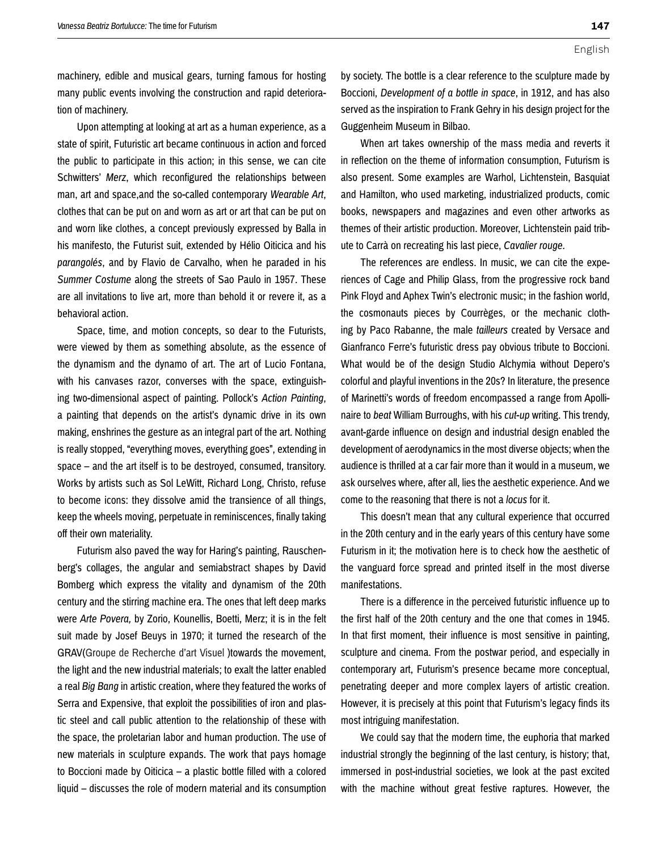**147**

machinery, edible and musical gears, turning famous for hosting many public events involving the construction and rapid deterioration of machinery.

Upon attempting at looking at art as a human experience, as a state of spirit, Futuristic art became continuous in action and forced the public to participate in this action; in this sense, we can cite Schwitters' *Merz*, which reconfigured the relationships between man, art and space,and the so-called contemporary *Wearable Art*, clothes that can be put on and worn as art or art that can be put on and worn like clothes, a concept previously expressed by Balla in his manifesto, the Futurist suit, extended by Hélio Oiticica and his *parangolés*, and by Flavio de Carvalho, when he paraded in his *Summer Costume* along the streets of Sao Paulo in 1957. These are all invitations to live art, more than behold it or revere it, as a behavioral action.

Space, time, and motion concepts, so dear to the Futurists, were viewed by them as something absolute, as the essence of the dynamism and the dynamo of art. The art of Lucio Fontana, with his canvases razor, converses with the space, extinguishing two-dimensional aspect of painting. Pollock's *Action Painting*, a painting that depends on the artist's dynamic drive in its own making, enshrines the gesture as an integral part of the art. Nothing is really stopped, "everything moves, everything goes", extending in space – and the art itself is to be destroyed, consumed, transitory. Works by artists such as Sol LeWitt, Richard Long, Christo, refuse to become icons: they dissolve amid the transience of all things, keep the wheels moving, perpetuate in reminiscences, finally taking off their own materiality.

Futurism also paved the way for Haring's painting, Rauschenberg's collages, the angular and semiabstract shapes by David Bomberg which express the vitality and dynamism of the 20th century and the stirring machine era. The ones that left deep marks were *Arte Povera,* by Zorio, Kounellis, Boetti, Merz; it is in the felt suit made by Josef Beuys in 1970; it turned the research of the GRAV(Groupe de Recherche d'art Visuel )towards the movement, the light and the new industrial materials; to exalt the latter enabled a real *Big Bang* in artistic creation, where they featured the works of Serra and Expensive, that exploit the possibilities of iron and plastic steel and call public attention to the relationship of these with the space, the proletarian labor and human production. The use of new materials in sculpture expands. The work that pays homage to Boccioni made by Oiticica – a plastic bottle filled with a colored liquid – discusses the role of modern material and its consumption

by society. The bottle is a clear reference to the sculpture made by Boccioni, *Development of a bottle in space*, in 1912, and has also served as the inspiration to Frank Gehry in his design project for the Guggenheim Museum in Bilbao.

When art takes ownership of the mass media and reverts it in reflection on the theme of information consumption, Futurism is also present. Some examples are Warhol, Lichtenstein, Basquiat and Hamilton, who used marketing, industrialized products, comic books, newspapers and magazines and even other artworks as themes of their artistic production. Moreover, Lichtenstein paid tribute to Carrà on recreating his last piece, *Cavalier rouge.*

The references are endless. In music, we can cite the experiences of Cage and Philip Glass, from the progressive rock band Pink Floyd and Aphex Twin's electronic music; in the fashion world, the cosmonauts pieces by Courrèges, or the mechanic clothing by Paco Rabanne, the male *tailleurs* created by Versace and Gianfranco Ferre's futuristic dress pay obvious tribute to Boccioni. What would be of the design Studio Alchymia without Depero's colorful and playful inventions in the 20s? In literature, the presence of Marinetti's words of freedom encompassed a range from Apollinaire to *beat* William Burroughs, with his *cut-up* writing. This trendy, avant-garde influence on design and industrial design enabled the development of aerodynamics in the most diverse objects; when the audience is thrilled at a car fair more than it would in a museum, we ask ourselves where, after all, lies the aesthetic experience. And we come to the reasoning that there is not a *locus* for it.

This doesn't mean that any cultural experience that occurred in the 20th century and in the early years of this century have some Futurism in it; the motivation here is to check how the aesthetic of the vanguard force spread and printed itself in the most diverse manifestations.

There is a difference in the perceived futuristic influence up to the first half of the 20th century and the one that comes in 1945. In that first moment, their influence is most sensitive in painting, sculpture and cinema. From the postwar period, and especially in contemporary art, Futurism's presence became more conceptual, penetrating deeper and more complex layers of artistic creation. However, it is precisely at this point that Futurism's legacy finds its most intriguing manifestation.

We could say that the modern time, the euphoria that marked industrial strongly the beginning of the last century, is history; that, immersed in post-industrial societies, we look at the past excited with the machine without great festive raptures. However, the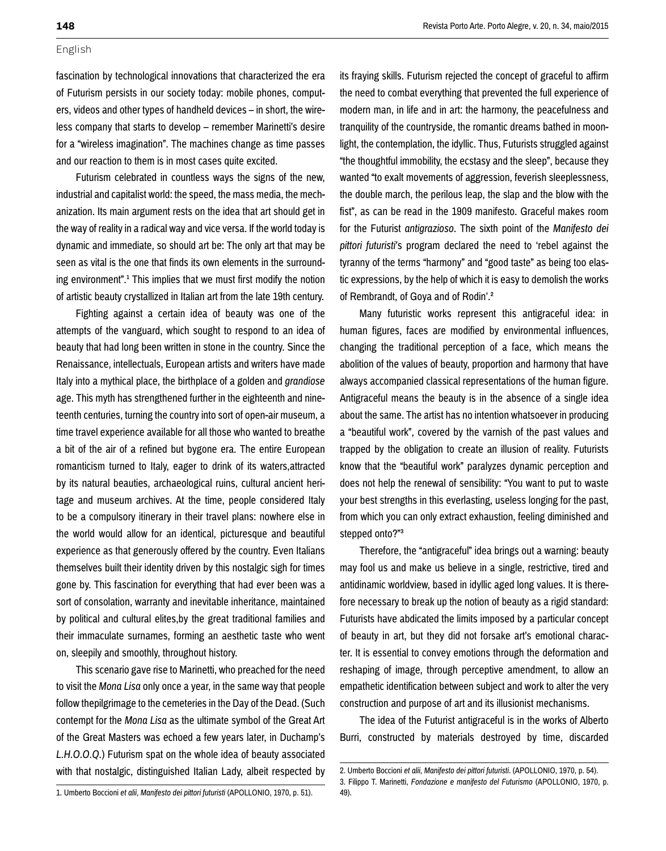fascination by technological innovations that characterized the era of Futurism persists in our society today: mobile phones, computers, videos and other types of handheld devices – in short, the wireless company that starts to develop – remember Marinetti's desire for a "wireless imagination". The machines change as time passes and our reaction to them is in most cases quite excited.

Futurism celebrated in countless ways the signs of the new, industrial and capitalist world: the speed, the mass media, the mechanization. Its main argument rests on the idea that art should get in the way of reality in a radical way and vice versa. If the world today is dynamic and immediate, so should art be: The only art that may be seen as vital is the one that finds its own elements in the surrounding environment".<sup>1</sup> This implies that we must first modify the notion of artistic beauty crystallized in Italian art from the late 19th century.

Fighting against a certain idea of beauty was one of the attempts of the vanguard, which sought to respond to an idea of beauty that had long been written in stone in the country. Since the Renaissance, intellectuals, European artists and writers have made Italy into a mythical place, the birthplace of a golden and *grandiose*  age. This myth has strengthened further in the eighteenth and nineteenth centuries, turning the country into sort of open-air museum, a time travel experience available for all those who wanted to breathe a bit of the air of a refined but bygone era. The entire European romanticism turned to Italy, eager to drink of its waters,attracted by its natural beauties, archaeological ruins, cultural ancient heritage and museum archives. At the time, people considered Italy to be a compulsory itinerary in their travel plans: nowhere else in the world would allow for an identical, picturesque and beautiful experience as that generously offered by the country. Even Italians themselves built their identity driven by this nostalgic sigh for times gone by. This fascination for everything that had ever been was a sort of consolation, warranty and inevitable inheritance, maintained by political and cultural elites,by the great traditional families and their immaculate surnames, forming an aesthetic taste who went on, sleepily and smoothly, throughout history.

This scenario gave rise to Marinetti, who preached for the need to visit the *Mona Lisa* only once a year, in the same way that people follow thepilgrimage to the cemeteries in the Day of the Dead. (Such contempt for the *Mona Lisa* as the ultimate symbol of the Great Art of the Great Masters was echoed a few years later, in Duchamp's *L.H.O.O.Q.*) Futurism spat on the whole idea of beauty associated with that nostalgic, distinguished Italian Lady, albeit respected by its fraying skills. Futurism rejected the concept of graceful to affirm the need to combat everything that prevented the full experience of modern man, in life and in art: the harmony, the peacefulness and tranquility of the countryside, the romantic dreams bathed in moonlight, the contemplation, the idyllic. Thus, Futurists struggled against "the thoughtful immobility, the ecstasy and the sleep", because they wanted "to exalt movements of aggression, feverish sleeplessness, the double march, the perilous leap, the slap and the blow with the fist", as can be read in the 1909 manifesto. Graceful makes room for the Futurist *antigrazioso*. The sixth point of the *Manifesto dei pittori futuristi'*s program declared the need to 'rebel against the tyranny of the terms "harmony" and "good taste" as being too elastic expressions, by the help of which it is easy to demolish the works of Rembrandt, of Goya and of Rodin'.2

Many futuristic works represent this antigraceful idea: in human figures, faces are modified by environmental influences, changing the traditional perception of a face, which means the abolition of the values of beauty, proportion and harmony that have always accompanied classical representations of the human figure. Antigraceful means the beauty is in the absence of a single idea about the same. The artist has no intention whatsoever in producing a "beautiful work", covered by the varnish of the past values and trapped by the obligation to create an illusion of reality. Futurists know that the "beautiful work" paralyzes dynamic perception and does not help the renewal of sensibility: "You want to put to waste your best strengths in this everlasting, useless longing for the past, from which you can only extract exhaustion, feeling diminished and stepped onto?"3

Therefore, the "antigraceful" idea brings out a warning: beauty may fool us and make us believe in a single, restrictive, tired and antidinamic worldview, based in idyllic aged long values. It is therefore necessary to break up the notion of beauty as a rigid standard: Futurists have abdicated the limits imposed by a particular concept of beauty in art, but they did not forsake art's emotional character. It is essential to convey emotions through the deformation and reshaping of image, through perceptive amendment, to allow an empathetic identification between subject and work to alter the very construction and purpose of art and its illusionist mechanisms.

The idea of the Futurist antigraceful is in the works of Alberto Burri, constructed by materials destroyed by time, discarded

1. Umberto Boccioni *et alii*, *Manifesto dei pittori futuristi* (APOLLONIO, 1970, p. 51).

<sup>2.</sup> Umberto Boccioni *et alii*, *Manifesto dei pittori futuristi*. (APOLLONIO, 1970, p. 54). 3. Filippo T. Marinetti, *Fondazione e manifesto del Futurismo* (APOLLONIO, 1970, p. 49).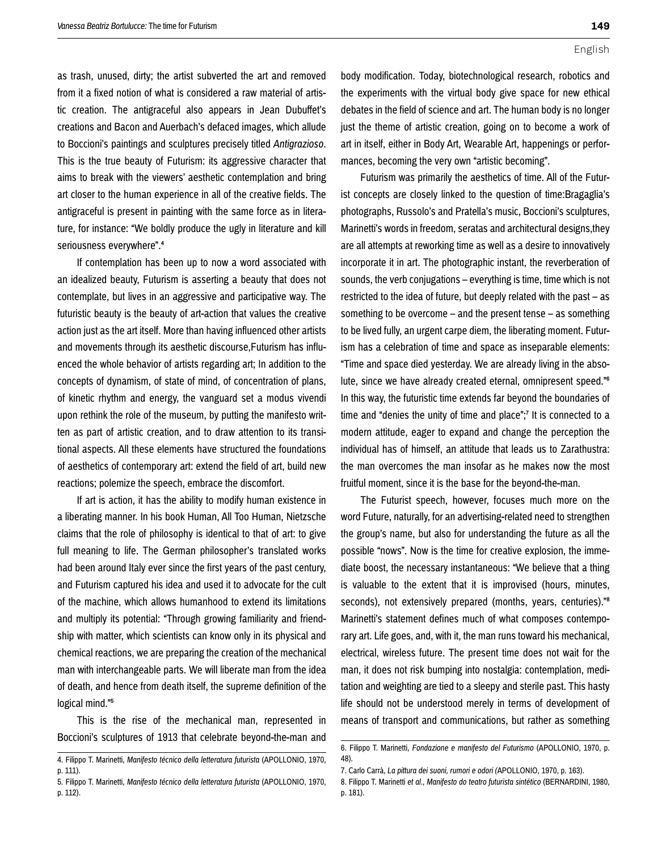as trash, unused, dirty; the artist subverted the art and removed from it a fixed notion of what is considered a raw material of artistic creation. The antigraceful also appears in Jean Dubuffet's creations and Bacon and Auerbach's defaced images, which allude to Boccioni's paintings and sculptures precisely titled *Antigrazioso*. This is the true beauty of Futurism: its aggressive character that aims to break with the viewers' aesthetic contemplation and bring art closer to the human experience in all of the creative fields. The antigraceful is present in painting with the same force as in literature, for instance: "We boldly produce the ugly in literature and kill seriousness everywhere".4

If contemplation has been up to now a word associated with an idealized beauty, Futurism is asserting a beauty that does not contemplate, but lives in an aggressive and participative way. The futuristic beauty is the beauty of art-action that values the creative action just as the art itself. More than having influenced other artists and movements through its aesthetic discourse,Futurism has influenced the whole behavior of artists regarding art; In addition to the concepts of dynamism, of state of mind, of concentration of plans, of kinetic rhythm and energy, the vanguard set a modus vivendi upon rethink the role of the museum, by putting the manifesto written as part of artistic creation, and to draw attention to its transitional aspects. All these elements have structured the foundations of aesthetics of contemporary art: extend the field of art, build new reactions; polemize the speech, embrace the discomfort.

If art is action, it has the ability to modify human existence in a liberating manner. In his book Human, All Too Human, Nietzsche claims that the role of philosophy is identical to that of art: to give full meaning to life. The German philosopher's translated works had been around Italy ever since the first years of the past century, and Futurism captured his idea and used it to advocate for the cult of the machine, which allows humanhood to extend its limitations and multiply its potential: "Through growing familiarity and friendship with matter, which scientists can know only in its physical and chemical reactions, we are preparing the creation of the mechanical man with interchangeable parts. We will liberate man from the idea of death, and hence from death itself, the supreme definition of the logical mind."5

This is the rise of the mechanical man, represented in Boccioni's sculptures of 1913 that celebrate beyond-the-man and body modification. Today, biotechnological research, robotics and the experiments with the virtual body give space for new ethical debates in the field of science and art. The human body is no longer just the theme of artistic creation, going on to become a work of art in itself, either in Body Art, Wearable Art, happenings or performances, becoming the very own "artistic becoming".

Futurism was primarily the aesthetics of time. All of the Futurist concepts are closely linked to the question of time:Bragaglia's photographs, Russolo's and Pratella's music, Boccioni's sculptures, Marinetti's words in freedom, seratas and architectural designs,they are all attempts at reworking time as well as a desire to innovatively incorporate it in art. The photographic instant, the reverberation of sounds, the verb conjugations – everything is time, time which is not restricted to the idea of future, but deeply related with the past – as something to be overcome – and the present tense – as something to be lived fully, an urgent carpe diem, the liberating moment. Futurism has a celebration of time and space as inseparable elements: "Time and space died yesterday. We are already living in the absolute, since we have already created eternal, omnipresent speed."6 In this way, the futuristic time extends far beyond the boundaries of time and "denies the unity of time and place";<sup>7</sup> It is connected to a modern attitude, eager to expand and change the perception the individual has of himself, an attitude that leads us to Zarathustra: the man overcomes the man insofar as he makes now the most fruitful moment, since it is the base for the beyond-the-man.

The Futurist speech, however, focuses much more on the word Future, naturally, for an advertising-related need to strengthen the group's name, but also for understanding the future as all the possible "nows". Now is the time for creative explosion, the immediate boost, the necessary instantaneous: "We believe that a thing is valuable to the extent that it is improvised (hours, minutes, seconds), not extensively prepared (months, years, centuries)."<sup>8</sup> Marinetti's statement defines much of what composes contemporary art. Life goes, and, with it, the man runs toward his mechanical, electrical, wireless future. The present time does not wait for the man, it does not risk bumping into nostalgia: contemplation, meditation and weighting are tied to a sleepy and sterile past. This hasty life should not be understood merely in terms of development of means of transport and communications, but rather as something

<sup>4.</sup> Filippo T. Marinetti, *Manifesto técnico della letteratura futurista* (APOLLONIO, 1970, p. 111).

<sup>5.</sup> Filippo T. Marinetti, *Manifesto técnico della letteratura futurista* (APOLLONIO, 1970, p. 112).

<sup>6.</sup> Filippo T. Marinetti, *Fondazione e manifesto del Futurismo* (APOLLONIO, 1970, p. 48).

<sup>7.</sup> Carlo Carrà, *La pittura dei suoni, rumori e odori (*APOLLONIO, 1970, p. 163).

<sup>8.</sup> Filippo T. Marinetti *et al*., *Manifesto do teatro futurista sintético* (BERNARDINI, 1980, p. 181).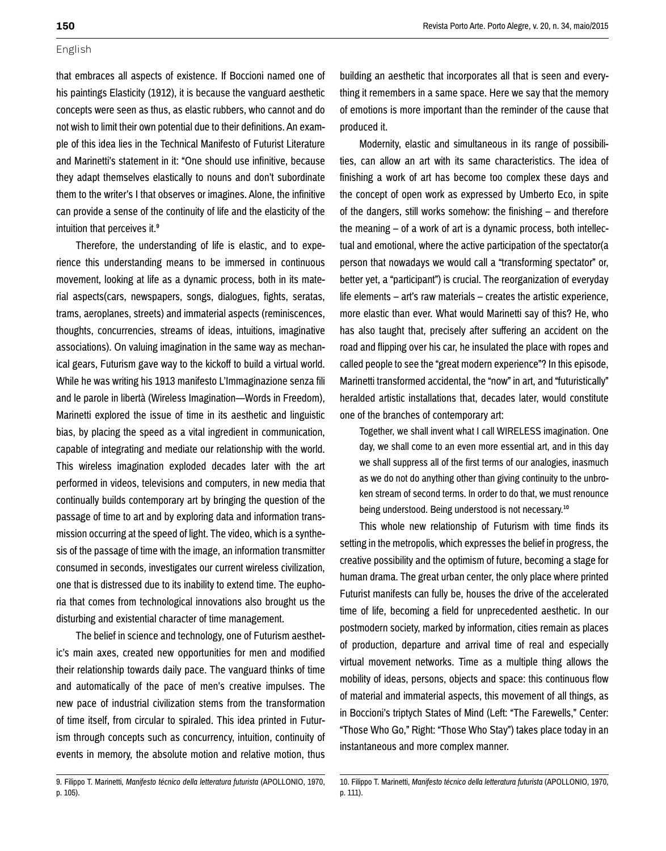that embraces all aspects of existence. If Boccioni named one of his paintings Elasticity (1912), it is because the vanguard aesthetic concepts were seen as thus, as elastic rubbers, who cannot and do not wish to limit their own potential due to their definitions. An example of this idea lies in the Technical Manifesto of Futurist Literature and Marinetti's statement in it: "One should use infinitive, because they adapt themselves elastically to nouns and don't subordinate them to the writer's I that observes or imagines. Alone, the infinitive can provide a sense of the continuity of life and the elasticity of the intuition that perceives it.<sup>9</sup>

Therefore, the understanding of life is elastic, and to experience this understanding means to be immersed in continuous movement, looking at life as a dynamic process, both in its material aspects(cars, newspapers, songs, dialogues, fights, seratas, trams, aeroplanes, streets) and immaterial aspects (reminiscences, thoughts, concurrencies, streams of ideas, intuitions, imaginative associations). On valuing imagination in the same way as mechanical gears, Futurism gave way to the kickoff to build a virtual world. While he was writing his 1913 manifesto L'Immaginazione senza fili and le parole in libertà (Wireless Imagination—Words in Freedom), Marinetti explored the issue of time in its aesthetic and linguistic bias, by placing the speed as a vital ingredient in communication, capable of integrating and mediate our relationship with the world. This wireless imagination exploded decades later with the art performed in videos, televisions and computers, in new media that continually builds contemporary art by bringing the question of the passage of time to art and by exploring data and information transmission occurring at the speed of light. The video, which is a synthesis of the passage of time with the image, an information transmitter consumed in seconds, investigates our current wireless civilization, one that is distressed due to its inability to extend time. The euphoria that comes from technological innovations also brought us the disturbing and existential character of time management.

The belief in science and technology, one of Futurism aesthetic's main axes, created new opportunities for men and modified their relationship towards daily pace. The vanguard thinks of time and automatically of the pace of men's creative impulses. The new pace of industrial civilization stems from the transformation of time itself, from circular to spiraled. This idea printed in Futurism through concepts such as concurrency, intuition, continuity of events in memory, the absolute motion and relative motion, thus

9. Filippo T. Marinetti, *Manifesto técnico della letteratura futurista* (APOLLONIO, 1970, p. 105).

building an aesthetic that incorporates all that is seen and everything it remembers in a same space. Here we say that the memory of emotions is more important than the reminder of the cause that produced it.

Modernity, elastic and simultaneous in its range of possibilities, can allow an art with its same characteristics. The idea of finishing a work of art has become too complex these days and the concept of open work as expressed by Umberto Eco, in spite of the dangers, still works somehow: the finishing – and therefore the meaning – of a work of art is a dynamic process, both intellectual and emotional, where the active participation of the spectator(a person that nowadays we would call a "transforming spectator" or, better yet, a "participant") is crucial. The reorganization of everyday life elements – art's raw materials – creates the artistic experience, more elastic than ever. What would Marinetti say of this? He, who has also taught that, precisely after suffering an accident on the road and flipping over his car, he insulated the place with ropes and called people to see the "great modern experience"? In this episode, Marinetti transformed accidental, the "now" in art, and "futuristically" heralded artistic installations that, decades later, would constitute one of the branches of contemporary art:

Together, we shall invent what I call WIRELESS imagination. One day, we shall come to an even more essential art, and in this day we shall suppress all of the first terms of our analogies, inasmuch as we do not do anything other than giving continuity to the unbroken stream of second terms. In order to do that, we must renounce being understood. Being understood is not necessary.<sup>10</sup>

This whole new relationship of Futurism with time finds its setting in the metropolis, which expresses the belief in progress, the creative possibility and the optimism of future, becoming a stage for human drama. The great urban center, the only place where printed Futurist manifests can fully be, houses the drive of the accelerated time of life, becoming a field for unprecedented aesthetic. In our postmodern society, marked by information, cities remain as places of production, departure and arrival time of real and especially virtual movement networks. Time as a multiple thing allows the mobility of ideas, persons, objects and space: this continuous flow of material and immaterial aspects, this movement of all things, as in Boccioni's triptych States of Mind (Left: "The Farewells," Center: "Those Who Go," Right: "Those Who Stay") takes place today in an instantaneous and more complex manner.

<sup>10.</sup> Filippo T. Marinetti, *Manifesto técnico della letteratura futurista* (APOLLONIO, 1970, p. 111).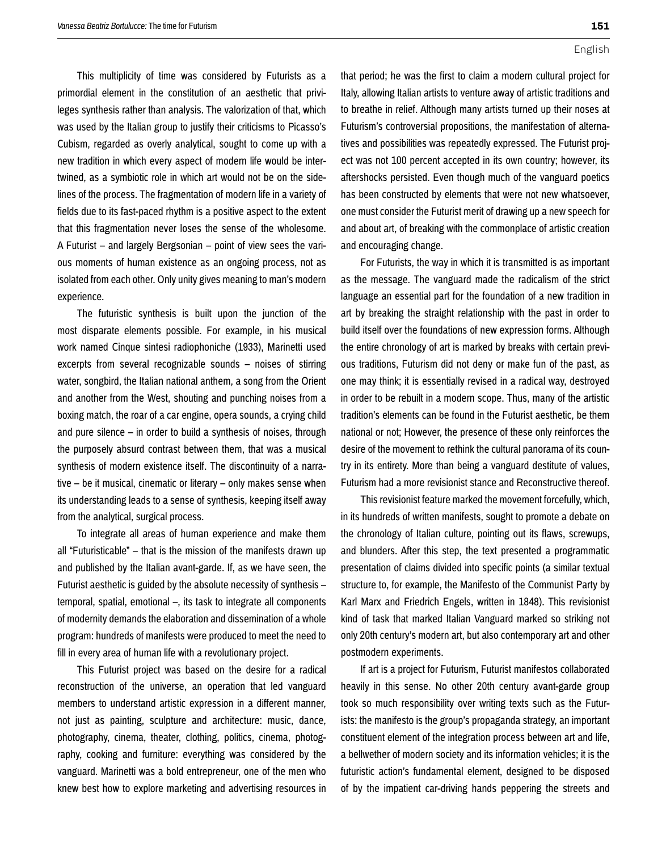This multiplicity of time was considered by Futurists as a primordial element in the constitution of an aesthetic that privileges synthesis rather than analysis. The valorization of that, which was used by the Italian group to justify their criticisms to Picasso's Cubism, regarded as overly analytical, sought to come up with a new tradition in which every aspect of modern life would be intertwined, as a symbiotic role in which art would not be on the sidelines of the process. The fragmentation of modern life in a variety of fields due to its fast-paced rhythm is a positive aspect to the extent that this fragmentation never loses the sense of the wholesome. A Futurist – and largely Bergsonian – point of view sees the various moments of human existence as an ongoing process, not as isolated from each other. Only unity gives meaning to man's modern experience.

The futuristic synthesis is built upon the junction of the most disparate elements possible. For example, in his musical work named Cinque sintesi radiophoniche (1933), Marinetti used excerpts from several recognizable sounds – noises of stirring water, songbird, the Italian national anthem, a song from the Orient and another from the West, shouting and punching noises from a boxing match, the roar of a car engine, opera sounds, a crying child and pure silence – in order to build a synthesis of noises, through the purposely absurd contrast between them, that was a musical synthesis of modern existence itself. The discontinuity of a narrative – be it musical, cinematic or literary – only makes sense when its understanding leads to a sense of synthesis, keeping itself away from the analytical, surgical process.

To integrate all areas of human experience and make them all "Futuristicable" – that is the mission of the manifests drawn up and published by the Italian avant-garde. If, as we have seen, the Futurist aesthetic is guided by the absolute necessity of synthesis – temporal, spatial, emotional –, its task to integrate all components of modernity demands the elaboration and dissemination of a whole program: hundreds of manifests were produced to meet the need to fill in every area of human life with a revolutionary project.

This Futurist project was based on the desire for a radical reconstruction of the universe, an operation that led vanguard members to understand artistic expression in a different manner, not just as painting, sculpture and architecture: music, dance, photography, cinema, theater, clothing, politics, cinema, photography, cooking and furniture: everything was considered by the vanguard. Marinetti was a bold entrepreneur, one of the men who knew best how to explore marketing and advertising resources in **151**

that period; he was the first to claim a modern cultural project for Italy, allowing Italian artists to venture away of artistic traditions and to breathe in relief. Although many artists turned up their noses at Futurism's controversial propositions, the manifestation of alternatives and possibilities was repeatedly expressed. The Futurist project was not 100 percent accepted in its own country; however, its aftershocks persisted. Even though much of the vanguard poetics has been constructed by elements that were not new whatsoever, one must consider the Futurist merit of drawing up a new speech for and about art, of breaking with the commonplace of artistic creation and encouraging change.

For Futurists, the way in which it is transmitted is as important as the message. The vanguard made the radicalism of the strict language an essential part for the foundation of a new tradition in art by breaking the straight relationship with the past in order to build itself over the foundations of new expression forms. Although the entire chronology of art is marked by breaks with certain previous traditions, Futurism did not deny or make fun of the past, as one may think; it is essentially revised in a radical way, destroyed in order to be rebuilt in a modern scope. Thus, many of the artistic tradition's elements can be found in the Futurist aesthetic, be them national or not; However, the presence of these only reinforces the desire of the movement to rethink the cultural panorama of its country in its entirety. More than being a vanguard destitute of values, Futurism had a more revisionist stance and Reconstructive thereof.

This revisionist feature marked the movement forcefully, which, in its hundreds of written manifests, sought to promote a debate on the chronology of Italian culture, pointing out its flaws, screwups, and blunders. After this step, the text presented a programmatic presentation of claims divided into specific points (a similar textual structure to, for example, the Manifesto of the Communist Party by Karl Marx and Friedrich Engels, written in 1848). This revisionist kind of task that marked Italian Vanguard marked so striking not only 20th century's modern art, but also contemporary art and other postmodern experiments.

If art is a project for Futurism, Futurist manifestos collaborated heavily in this sense. No other 20th century avant-garde group took so much responsibility over writing texts such as the Futurists: the manifesto is the group's propaganda strategy, an important constituent element of the integration process between art and life, a bellwether of modern society and its information vehicles; it is the futuristic action's fundamental element, designed to be disposed of by the impatient car-driving hands peppering the streets and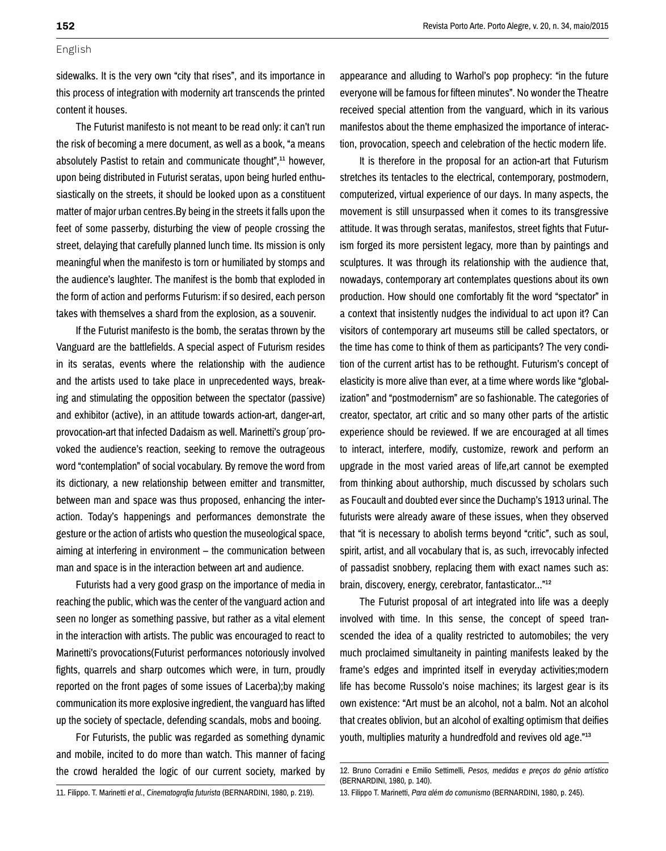sidewalks. It is the very own "city that rises", and its importance in this process of integration with modernity art transcends the printed content it houses.

The Futurist manifesto is not meant to be read only: it can't run the risk of becoming a mere document, as well as a book, "a means absolutely Pastist to retain and communicate thought",<sup>11</sup> however, upon being distributed in Futurist seratas, upon being hurled enthusiastically on the streets, it should be looked upon as a constituent matter of major urban centres.By being in the streets it falls upon the feet of some passerby, disturbing the view of people crossing the street, delaying that carefully planned lunch time. Its mission is only meaningful when the manifesto is torn or humiliated by stomps and the audience's laughter. The manifest is the bomb that exploded in the form of action and performs Futurism: if so desired, each person takes with themselves a shard from the explosion, as a souvenir.

If the Futurist manifesto is the bomb, the seratas thrown by the Vanguard are the battlefields. A special aspect of Futurism resides in its seratas, events where the relationship with the audience and the artists used to take place in unprecedented ways, breaking and stimulating the opposition between the spectator (passive) and exhibitor (active), in an attitude towards action-art, danger-art, provocation-art that infected Dadaism as well. Marinetti's group´provoked the audience's reaction, seeking to remove the outrageous word "contemplation" of social vocabulary. By remove the word from its dictionary, a new relationship between emitter and transmitter, between man and space was thus proposed, enhancing the interaction. Today's happenings and performances demonstrate the gesture or the action of artists who question the museological space, aiming at interfering in environment – the communication between man and space is in the interaction between art and audience.

Futurists had a very good grasp on the importance of media in reaching the public, which was the center of the vanguard action and seen no longer as something passive, but rather as a vital element in the interaction with artists. The public was encouraged to react to Marinetti's provocations(Futurist performances notoriously involved fights, quarrels and sharp outcomes which were, in turn, proudly reported on the front pages of some issues of Lacerba);by making communication its more explosive ingredient, the vanguard has lifted up the society of spectacle, defending scandals, mobs and booing.

For Futurists, the public was regarded as something dynamic and mobile, incited to do more than watch. This manner of facing the crowd heralded the logic of our current society, marked by appearance and alluding to Warhol's pop prophecy: "in the future everyone will be famous for fifteen minutes". No wonder the Theatre received special attention from the vanguard, which in its various manifestos about the theme emphasized the importance of interaction, provocation, speech and celebration of the hectic modern life.

It is therefore in the proposal for an action-art that Futurism stretches its tentacles to the electrical, contemporary, postmodern, computerized, virtual experience of our days. In many aspects, the movement is still unsurpassed when it comes to its transgressive attitude. It was through seratas, manifestos, street fights that Futurism forged its more persistent legacy, more than by paintings and sculptures. It was through its relationship with the audience that, nowadays, contemporary art contemplates questions about its own production. How should one comfortably fit the word "spectator" in a context that insistently nudges the individual to act upon it? Can visitors of contemporary art museums still be called spectators, or the time has come to think of them as participants? The very condition of the current artist has to be rethought. Futurism's concept of elasticity is more alive than ever, at a time where words like "globalization" and "postmodernism" are so fashionable. The categories of creator, spectator, art critic and so many other parts of the artistic experience should be reviewed. If we are encouraged at all times to interact, interfere, modify, customize, rework and perform an upgrade in the most varied areas of life,art cannot be exempted from thinking about authorship, much discussed by scholars such as Foucault and doubted ever since the Duchamp's 1913 urinal. The futurists were already aware of these issues, when they observed that "it is necessary to abolish terms beyond "critic", such as soul, spirit, artist, and all vocabulary that is, as such, irrevocably infected of passadist snobbery, replacing them with exact names such as: brain, discovery, energy, cerebrator, fantasticator..."12

The Futurist proposal of art integrated into life was a deeply involved with time. In this sense, the concept of speed transcended the idea of a quality restricted to automobiles; the very much proclaimed simultaneity in painting manifests leaked by the frame's edges and imprinted itself in everyday activities;modern life has become Russolo's noise machines; its largest gear is its own existence: "Art must be an alcohol, not a balm. Not an alcohol that creates oblivion, but an alcohol of exalting optimism that deifies youth, multiplies maturity a hundredfold and revives old age."13

<sup>12.</sup> Bruno Corradini e Emilio Settimelli, *Pesos, medidas e preços do gênio artístico*  (BERNARDINI, 1980*,* p. 140).

<sup>11.</sup> Filippo. T. Marinetti *et al.*, *Cinematografia futurista* (BERNARDINI, 1980*,* p. 219).

<sup>13.</sup> Filippo T. Marinetti, *Para além do comunismo* (BERNARDINI, 1980, p. 245).